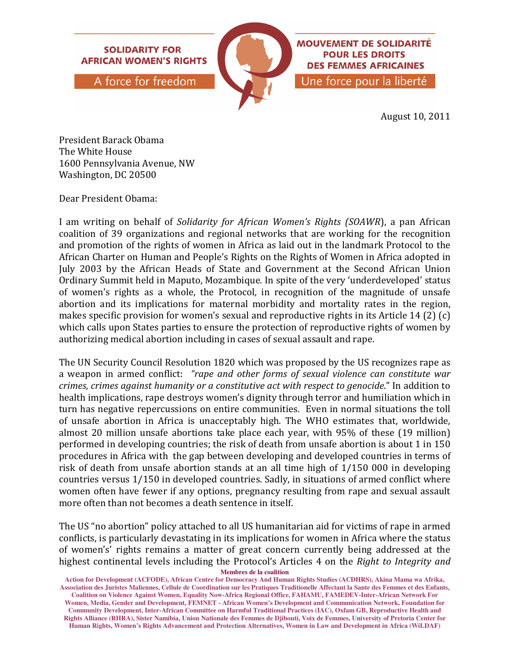

August 10, 2011

President Barack Obama The White House 1600 Pennsylvania Avenue, NW Washington, DC 20500

Dear President Obama:

I am writing on behalf of Solidarity for African Women's Rights (SOAWR), a pan African coalition of 39 organizations and regional networks that are working for the recognition and promotion of the rights of women in Africa as laid out in the landmark Protocol to the African Charter on Human and People's Rights on the Rights of Women in Africa adopted in July 2003 by the African Heads of State and Government at the Second African Union Ordinary Summit held in Maputo, Mozambique. In spite of the very 'underdeveloped' status of women's rights as a whole, the Protocol, in recognition of the magnitude of unsafe abortion and its implications for maternal morbidity and mortality rates in the region, makes specific provision for women's sexual and reproductive rights in its Article 14 (2) (c) which calls upon States parties to ensure the protection of reproductive rights of women by authorizing medical abortion including in cases of sexual assault and rape.

The UN Security Council Resolution 1820 which was proposed by the US recognizes rape as a weapon in armed conflict: "rape and other forms of sexual violence can constitute war crimes, crimes against humanity or a constitutive act with respect to genocide." In addition to health implications, rape destroys women's dignity through terror and humiliation which in turn has negative repercussions on entire communities. Even in normal situations the toll of unsafe abortion in Africa is unacceptably high. The WHO estimates that, worldwide, almost 20 million unsafe abortions take place each year, with 95% of these (19 million) performed in developing countries; the risk of death from unsafe abortion is about 1 in 150 procedures in Africa with the gap between developing and developed countries in terms of risk of death from unsafe abortion stands at an all time high of 1/150 000 in developing countries versus 1/150 in developed countries. Sadly, in situations of armed conflict where women often have fewer if any options, pregnancy resulting from rape and sexual assault more often than not becomes a death sentence in itself.

**Membres de la coalition**  The US "no abortion" policy attached to all US humanitarian aid for victims of rape in armed conflicts, is particularly devastating in its implications for women in Africa where the status of women's' rights remains a matter of great concern currently being addressed at the highest continental levels including the Protocol's Articles 4 on the Right to Integrity and

**Action for Development (ACFODE), African Centre for Democracy And Human Rights Studies (ACDHRS), Akina Mama wa Afrika, Association des Juristes Maliennes, Cellule de Coordination sur les Pratiques Traditionelle Affectant la Sante des Femmes et des Enfants, Coalition on Violence Against Women, Equality Now-Africa Regional Office, FAHAMU, FAMEDEV-Inter-African Network For Women, Media, Gender and Development, FEMNET - African Women's Development and Communication Network, Foundation for Community Development, Inter-African Committee on Harmful Traditional Practices (IAC), Oxfam GB, Reproductive Health and Rights Alliance (RHRA), Sister Namibia, Union Nationale des Femmes de Djibouti, Voix de Femmes, University of Pretoria Center for Human Rights, Women's Rights Advancement and Protection Alternatives, Women in Law and Development in Africa (WiLDAF)**